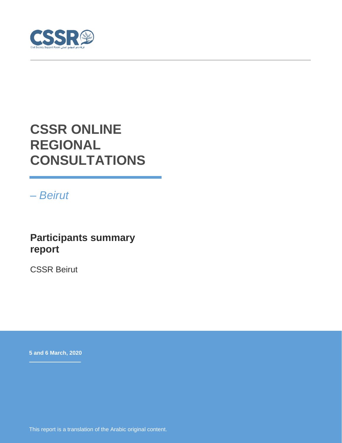

# **CSSR ONLINE REGIONAL CONSULTATIONS**

*– Beirut*

### **Participants summary report**

CSSR Beirut

**5 and 6 March, 2020**

This report is a translation of the Arabic original content.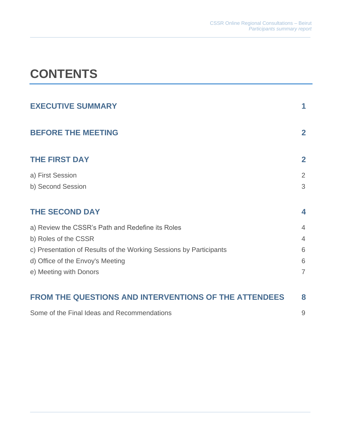# **CONTENTS**

| <b>EXECUTIVE SUMMARY</b>                                           |                    |
|--------------------------------------------------------------------|--------------------|
| <b>BEFORE THE MEETING</b>                                          | $\mathbf{2}$       |
| <b>THE FIRST DAY</b>                                               | $\overline{2}$     |
| a) First Session                                                   | 2                  |
| b) Second Session                                                  | 3                  |
| <b>THE SECOND DAY</b>                                              | $\overline{\bf 4}$ |
| a) Review the CSSR's Path and Redefine its Roles                   | $\overline{4}$     |
| b) Roles of the CSSR                                               | $\overline{4}$     |
| c) Presentation of Results of the Working Sessions by Participants | 6                  |
| d) Office of the Envoy's Meeting                                   | 6                  |
| e) Meeting with Donors                                             | $\overline{7}$     |
|                                                                    |                    |
| <b>FROM THE QUESTIONS AND INTERVENTIONS OF THE ATTENDEES</b>       | 8                  |
| Some of the Final Ideas and Recommendations                        | 9                  |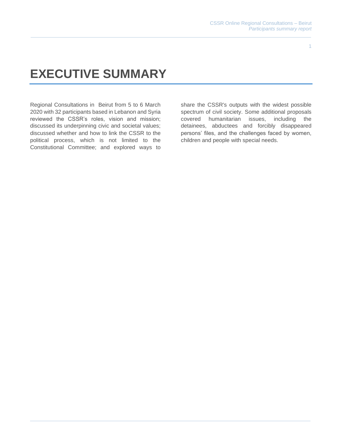#### 1

## **EXECUTIVE SUMMARY**

Regional Consultations in Beirut from 5 to 6 March 2020 with 32 participants based in Lebanon and Syria reviewed the CSSR's roles, vision and mission; discussed its underpinning civic and societal values; discussed whether and how to link the CSSR to the political process, which is not limited to the Constitutional Committee; and explored ways to

share the CSSR's outputs with the widest possible spectrum of civil society. Some additional proposals covered humanitarian issues, including the detainees, abductees and forcibly disappeared persons' files, and the challenges faced by women, children and people with special needs.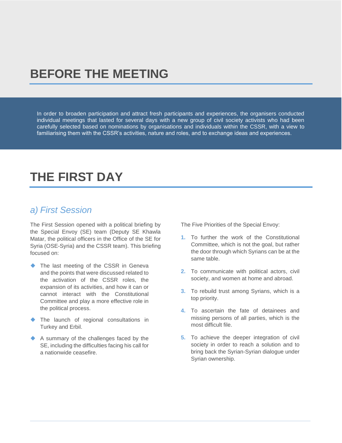## **BEFORE THE MEETING**

In order to broaden participation and attract fresh participants and experiences, the organisers conducted individual meetings that lasted for several days with a new group of civil society activists who had been carefully selected based on nominations by organisations and individuals within the CSSR, with a view to familiarising them with the CSSR's activities, nature and roles, and to exchange ideas and experiences.

## **THE FIRST DAY**

### *a) First Session*

The First Session opened with a political briefing by the Special Envoy (SE) team (Deputy SE Khawla Matar, the political officers in the Office of the SE for Syria (OSE-Syria) and the CSSR team). This briefing focused on:

- ◆ The last meeting of the CSSR in Geneva and the points that were discussed related to the activation of the CSSR roles, the expansion of its activities, and how it can or cannot interact with the Constitutional Committee and play a more effective role in the political process.
- ◆ The launch of regional consultations in Turkey and Erbil.
- ◆ A summary of the challenges faced by the SE, including the difficulties facing his call for a nationwide ceasefire.

The Five Priorities of the Special Envoy:

- **1.** To further the work of the Constitutional Committee, which is not the goal, but rather the door through which Syrians can be at the same table.
- **2.** To communicate with political actors, civil society, and women at home and abroad.
- **3.** To rebuild trust among Syrians, which is a top priority.
- **4.** To ascertain the fate of detainees and missing persons of all parties, which is the most difficult file.
- **5.** To achieve the deeper integration of civil society in order to reach a solution and to bring back the Syrian-Syrian dialogue under Syrian ownership.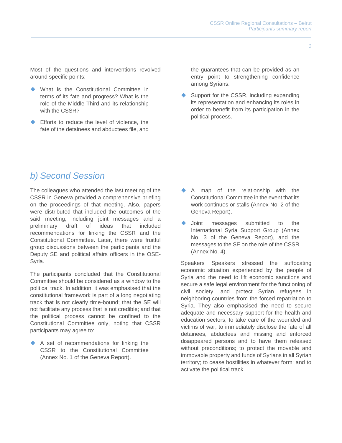Most of the questions and interventions revolved around specific points:

- ◆ What is the Constitutional Committee in terms of its fate and progress? What is the role of the Middle Third and its relationship with the CSSR?
- Efforts to reduce the level of violence, the fate of the detainees and abductees file, and

the guarantees that can be provided as an entry point to strengthening confidence among Syrians.

Support for the CSSR, including expanding its representation and enhancing its roles in order to benefit from its participation in the political process.

### *b) Second Session*

The colleagues who attended the last meeting of the CSSR in Geneva provided a comprehensive briefing on the proceedings of that meeting. Also, papers were distributed that included the outcomes of the said meeting, including joint messages and a preliminary draft of ideas that included recommendations for linking the CSSR and the Constitutional Committee. Later, there were fruitful group discussions between the participants and the Deputy SE and political affairs officers in the OSE-Syria.

The participants concluded that the Constitutional Committee should be considered as a window to the political track. In addition, it was emphasised that the constitutional framework is part of a long negotiating track that is not clearly time-bound; that the SE will not facilitate any process that is not credible; and that the political process cannot be confined to the Constitutional Committee only, noting that CSSR participants may agree to:

◆ A set of recommendations for linking the CSSR to the Constitutional Committee (Annex No. 1 of the Geneva Report).

- ◆ A map of the relationship with the Constitutional Committee in the event that its work continues or stalls (Annex No. 2 of the Geneva Report).
- Joint messages submitted to the International Syria Support Group (Annex No. 3 of the Geneva Report), and the messages to the SE on the role of the CSSR (Annex No. 4).

Speakers Speakers stressed the suffocating economic situation experienced by the people of Syria and the need to lift economic sanctions and secure a safe legal environment for the functioning of civil society, and protect Syrian refugees in neighboring countries from the forced repatriation to Syria. They also emphasised the need to secure adequate and necessary support for the health and education sectors; to take care of the wounded and victims of war; to immediately disclose the fate of all detainees, abductees and missing and enforced disappeared persons and to have them released without preconditions; to protect the movable and immovable property and funds of Syrians in all Syrian territory; to cease hostilities in whatever form; and to activate the political track.

3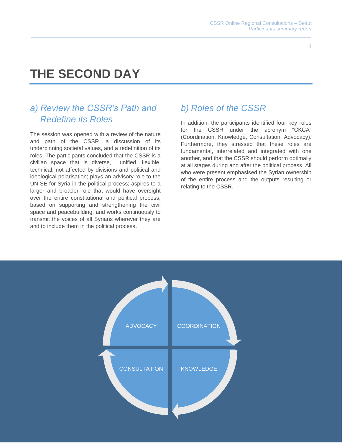# **THE SECOND DAY**

### *a) Review the CSSR's Path and Redefine its Roles*

The session was opened with a review of the nature and path of the CSSR, a discussion of its underpinning societal values, and a redefinition of its roles. The participants concluded that the CSSR is a civilian space that is diverse, unified, flexible, technical; not affected by divisions and political and ideological polarisation; plays an advisory role to the UN SE for Syria in the political process; aspires to a larger and broader role that would have oversight over the entire constitutional and political process, based on supporting and strengthening the civil space and peacebuilding; and works continuously to transmit the voices of all Syrians wherever they are and to include them in the political process.

### *b) Roles of the CSSR*

In addition, the participants identified four key roles for the CSSR under the acronym "CKCA" (Coordination, Knowledge, Consultation, Advocacy). Furthermore, they stressed that these roles are fundamental, interrelated and integrated with one another, and that the CSSR should perform optimally at all stages during and after the political process. All who were present emphasised the Syrian ownership of the entire process and the outputs resulting or relating to the CSSR.

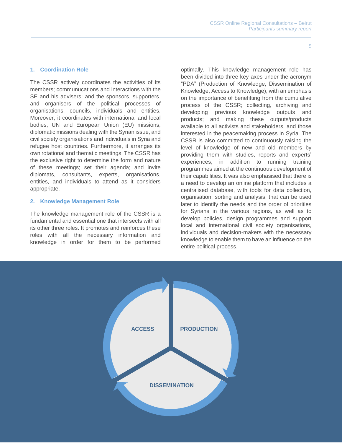#### 5

#### **1. Coordination Role**

The CSSR actively coordinates the activities of its members; communucations and interactions with the SE and his advisers; and the sponsors, supporters, and organisers of the political processes of organisations, councils, individuals and entities. Moreover, it coordinates with international and local bodies, UN and European Union (EU) missions, diplomatic missions dealing with the Syrian issue, and civil society organisations and individuals in Syria and refugee host countries. Furthermore, it arranges its own rotational and thematic meetings. The CSSR has the exclusive right to determine the form and nature of these meetings; set their agenda; and invite diplomats, consultants, experts, organisations, entities, and individuals to attend as it considers appropriate.

#### **2. Knowledge Management Role**

The knowledge management role of the CSSR is a fundamental and essential one that intersects with all its other three roles. It promotes and reinforces these roles with all the necessary information and knowledge in order for them to be performed optimally. This knowledge management role has been divided into three key axes under the acronym "PDA" (Production of Knowledge, Dissemination of Knowledge, Access to Knowledge), with an emphasis on the importance of benefitting from the cumulative process of the CSSR; collecting, archiving and developing previous knowledge outputs and products; and making these outputs/products available to all activists and stakeholders, and those interested in the peacemaking process in Syria. The CSSR is also committed to continuously raising the level of knowledge of new and old members by providing them with studies, reports and experts' experiences, in addition to running training programmes aimed at the continuous development of their capabilities. It was also emphasised that there is a need to develop an online platform that includes a centralised database, with tools for data collection, organisation, sorting and analysis, that can be used later to identify the needs and the order of priorities for Syrians in the various regions, as well as to develop policies, design programmes and support local and international civil society organisations, individuals and decision-makers with the necessary knowledge to enable them to have an influence on the entire political process.

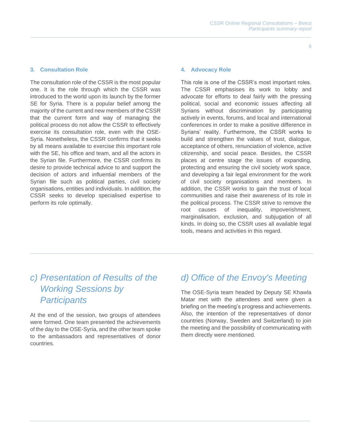#### **3. Consultation Role**

The consultation role of the CSSR is the most popular one. It is the role through which the CSSR was introduced to the world upon its launch by the former SE for Syria. There is a popular belief among the majority of the current and new members of the CSSR that the current form and way of managing the political process do not allow the CSSR to effectively exercise its consultation role, even with the OSE-Syria. Nonetheless, the CSSR confirms that it seeks by all means available to exercise this important role with the SE, his office and team, and all the actors in the Syrian file. Furthermore, the CSSR confirms its desire to provide technical advice to and support the decision of actors and influential members of the Syrian file such as political parties, civil society organisations, entities and individuals. In addition, the CSSR seeks to develop specialised expertise to perform its role optimally.

#### **4. Advocacy Role**

This role is one of the CSSR's most important roles. The CSSR emphasises its work to lobby and advocate for efforts to deal fairly with the pressing political, social and economic issues affecting all Syrians without discrimination by participating actively in events, forums, and local and international conferences in order to make a positive difference in Syrians' reality. Furthermore, the CSSR works to build and strengthen the values of trust, dialogue, acceptance of others, renunciation of violence, active citizenship, and social peace. Besides, the CSSR places at centre stage the issues of expanding, protecting and ensuring the civil society work space, and developing a fair legal environment for the work of civil society organisations and members. In addition, the CSSR works to gain the trust of local communities and raise their awareness of its role in the political process. The CSSR strive to remove the root causes of inequality, impoverishment, marginalisation, exclusion, and subjugation of all kinds. In doing so, the CSSR uses all available legal tools, means and activities in this regard.

### *c) Presentation of Results of the Working Sessions by Participants*

At the end of the session, two groups of attendees were formed. One team presented the achievements of the day to the OSE-Syria, and the other team spoke to the ambassadors and representatives of donor countries.

### *d) Office of the Envoy's Meeting*

The OSE-Syria team headed by Deputy SE Khawla Matar met with the attendees and were given a briefing on the meeting's progress and achievements. Also, the intention of the representatives of donor countries (Norway, Sweden and Switzerland) to join the meeting and the possibility of communicating with them directly were mentioned.

6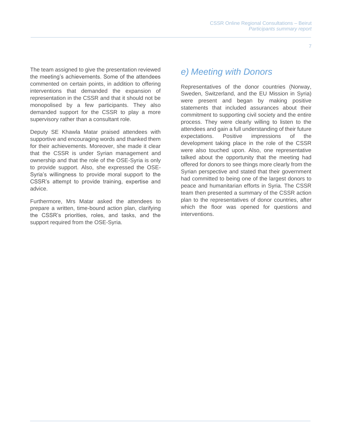The team assigned to give the presentation reviewed the meeting's achievements. Some of the attendees commented on certain points, in addition to offering interventions that demanded the expansion of representation in the CSSR and that it should not be monopolised by a few participants. They also demanded support for the CSSR to play a more supervisory rather than a consultant role.

Deputy SE Khawla Matar praised attendees with supportive and encouraging words and thanked them for their achievements. Moreover, she made it clear that the CSSR is under Syrian management and ownership and that the role of the OSE-Syria is only to provide support. Also, she expressed the OSE-Syria's willingness to provide moral support to the CSSR's attempt to provide training, expertise and advice.

Furthermore, Mrs Matar asked the attendees to prepare a written, time-bound action plan, clarifying the CSSR's priorities, roles, and tasks, and the support required from the OSE-Syria.

### *e) Meeting with Donors*

Representatives of the donor countries (Norway, Sweden, Switzerland, and the EU Mission in Syria) were present and began by making positive statements that included assurances about their commitment to supporting civil society and the entire process. They were clearly willing to listen to the attendees and gain a full understanding of their future expectations. Positive impressions of the development taking place in the role of the CSSR were also touched upon. Also, one representative talked about the opportunity that the meeting had offered for donors to see things more clearly from the Syrian perspective and stated that their government had committed to being one of the largest donors to peace and humanitarian efforts in Syria. The CSSR team then presented a summary of the CSSR action plan to the representatives of donor countries, after which the floor was opened for questions and interventions.

7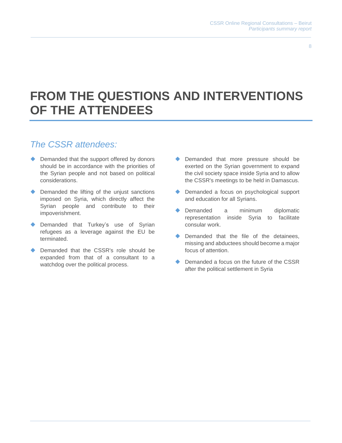8

## **FROM THE QUESTIONS AND INTERVENTIONS OF THE ATTENDEES**

### *The CSSR attendees:*

- ◆ Demanded that the support offered by donors should be in accordance with the priorities of the Syrian people and not based on political considerations.
- ◆ Demanded the lifting of the unjust sanctions imposed on Syria, which directly affect the Syrian people and contribute to their impoverishment.
- Demanded that Turkey's use of Syrian refugees as a leverage against the EU be terminated.
- Demanded that the CSSR's role should be expanded from that of a consultant to a watchdog over the political process.
- ◆ Demanded that more pressure should be exerted on the Syrian government to expand the civil society space inside Syria and to allow the CSSR's meetings to be held in Damascus.
- ◆ Demanded a focus on psychological support and education for all Syrians.
- Demanded a minimum diplomatic representation inside Syria to facilitate consular work.
- ◆ Demanded that the file of the detainees, missing and abductees should become a major focus of attention.
- Demanded a focus on the future of the CSSR after the political settlement in Syria